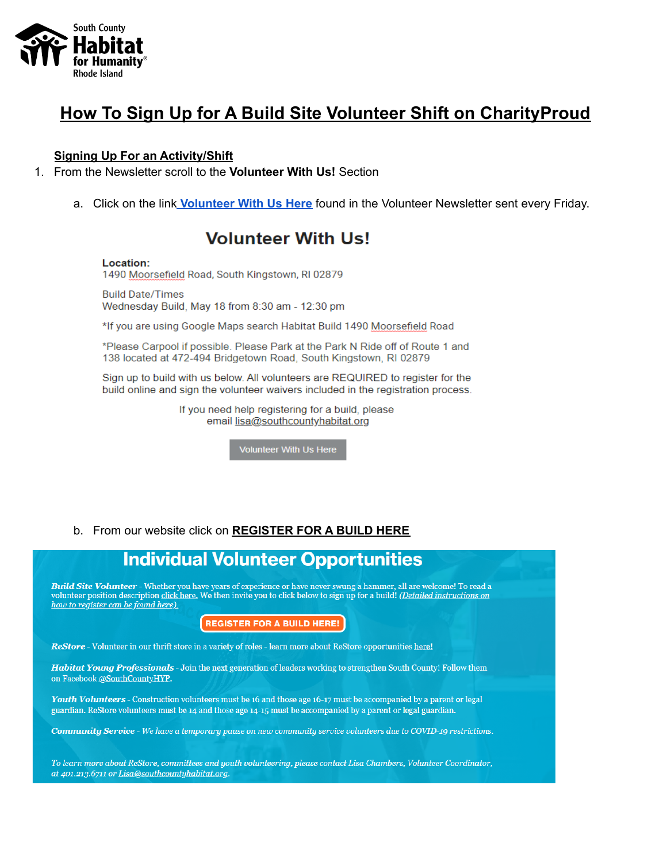

# How To Sign Up for A Build Site Volunteer Shift on Charity Proud

### **Signing Up For an Activity/Shift**

- 1. From the Newsletter scroll to the Volunteer With Us! Section
	- a. Click on the link **Volunteer With Us Here** found in the Volunteer Newsletter sent every Friday.

## **Volunteer With Us!**

#### Location:

1490 Moorsefield Road, South Kingstown, RI 02879

**Build Date/Times** Wednesday Build, May 18 from 8:30 am - 12:30 pm

\*If you are using Google Maps search Habitat Build 1490 Moorsefield Road

\*Please Carpool if possible. Please Park at the Park N Ride off of Route 1 and 138 located at 472-494 Bridgetown Road, South Kingstown, RI 02879

Sign up to build with us below. All volunteers are REQUIRED to register for the build online and sign the volunteer waivers included in the registration process.

> If you need help registering for a build, please email lisa@southcountyhabitat.org

> > Volunteer With Us Here

b. From our website click on REGISTER FOR A BUILD HERE

## **Individual Volunteer Opportunities**

Build Site Volunteer - Whether you have years of experience or have never swung a hammer, all are welcome! To read a<br>volunteer position description <u>click here.</u> We then invite you to click below to sign up for a build! (D how to register can be found here).

**REGISTER FOR A BUILD HERE!** 

ReStore - Volunteer in our thrift store in a variety of roles - learn more about ReStore opportunities here!

Habitat Young Professionals - Join the next generation of leaders working to strengthen South County! Follow them on Facebook @SouthCountyHYP.

Youth Volunteers - Construction volunteers must be 16 and those age 16-17 must be accompanied by a parent or legal guardian. ReStore volunteers must be 14 and those age 14-15 must be accompanied by a parent or legal guardian.

Community Service - We have a temporary pause on new community service volunteers due to COVID-19 restrictions.

To learn more about ReStore, committees and youth volunteering, please contact Lisa Chambers, Volunteer Coordinator, at 401.213.6711 or Lisa@southcountyhabitat.org.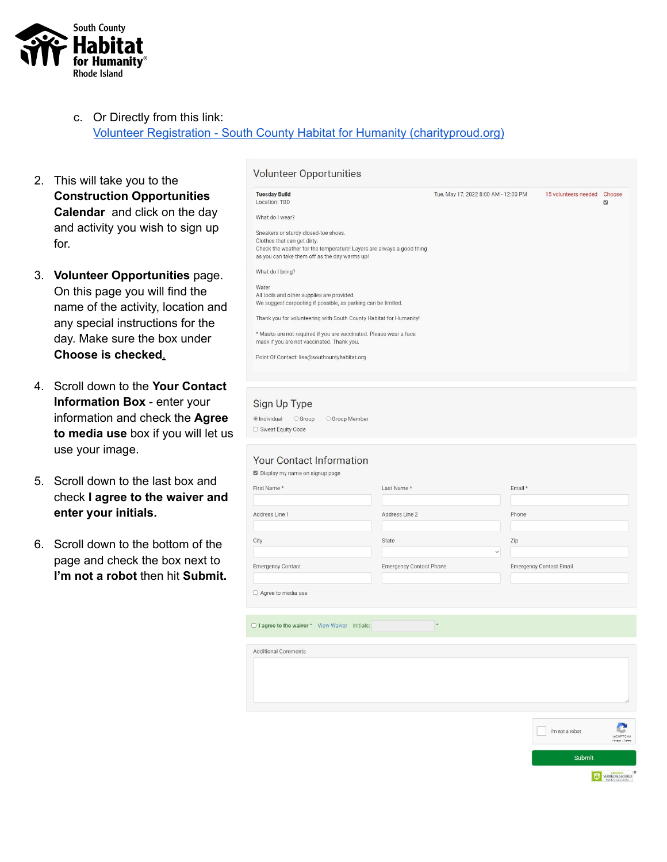

- c. Or Directly from this link: Volunteer Registration - South County Habitat for Humanity [\(charityproud.org\)](https://southcountyhabitat.charityproud.org/VolunteerRegistration/Calendar/3554)
- 2. This will take you to the **Construction Opportunities Calendar** and click on the day and activity you wish to sign up for.
- 3. **Volunteer Opportunities** page. On this page you will find the name of the activity, location and any special instructions for the day. Make sure the box under **Choose is checked**.
- 4. Scroll down to the **Your Contact Information Box** - enter your information and check the **Agree to media use** box if you will let us use your image.
- 5. Scroll down to the last box and check **I agree to the waiver and enter your initials.**
- 6. Scroll down to the bottom of the page and check the box next to **I'm not a robot** then hit **Submit.**

| <b>Tuesday Build</b><br>Location: TBD                                 | Tue, May 17, 2022 8:00 AM - 12:00 PM | 15 volunteers needed | Choose<br>$\Box$ |
|-----------------------------------------------------------------------|--------------------------------------|----------------------|------------------|
| What do I wear?                                                       |                                      |                      |                  |
| Sneakers or sturdy closed-toe shoes.                                  |                                      |                      |                  |
| Clothes that can get dirty.                                           |                                      |                      |                  |
| Check the weather for the temperature! Layers are always a good thing |                                      |                      |                  |
| as you can take them off as the day warms up!                         |                                      |                      |                  |
| What do I bring?                                                      |                                      |                      |                  |
| Water                                                                 |                                      |                      |                  |
| All tools and other supplies are provided.                            |                                      |                      |                  |
| We suggest carpooling if possible, as parking can be limited.         |                                      |                      |                  |
| Thank you for volunteering with South County Habitat for Humanity!    |                                      |                      |                  |
| * Masks are not required if you are vaccinated. Please wear a face    |                                      |                      |                  |
| mask if you are not vaccinated. Thank you.                            |                                      |                      |                  |
|                                                                       |                                      |                      |                  |
| Point Of Contact: lisa@southountyhabitat.org                          |                                      |                      |                  |
|                                                                       |                                      |                      |                  |
|                                                                       |                                      |                      |                  |

| First Name*              | Last Name*                     | Email*                         |
|--------------------------|--------------------------------|--------------------------------|
| Address Line 1           | Address Line 2                 | Phone                          |
| City                     | State                          | Zip<br>$\checkmark$            |
| <b>Emergency Contact</b> | <b>Emergency Contact Phone</b> | <b>Emergency Contact Email</b> |

 $_{\star}$ 

 $\Box$  I agree to the waiver  $*$  View Waiver Initials:

**Additional Comments** 

□ Sweat Foulty Code